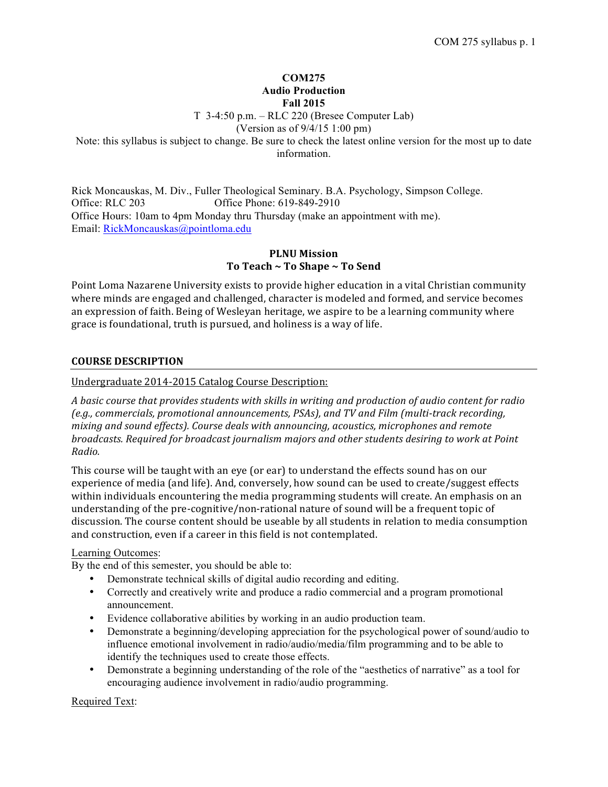### **COM275 Audio Production Fall 2015**

T 3-4:50 p.m. – RLC 220 (Bresee Computer Lab)

(Version as of 9/4/15 1:00 pm)

Note: this syllabus is subject to change. Be sure to check the latest online version for the most up to date information.

Rick Moncauskas, M. Div., Fuller Theological Seminary. B.A. Psychology, Simpson College. Office: RLC 203 Office Phone: 619-849-2910 Office Hours: 10am to 4pm Monday thru Thursday (make an appointment with me). Email: RickMoncauskas@pointloma.edu

# **PLNU Mission** To Teach ~ To Shape ~ To Send

Point Loma Nazarene University exists to provide higher education in a vital Christian community where minds are engaged and challenged, character is modeled and formed, and service becomes an expression of faith. Being of Wesleyan heritage, we aspire to be a learning community where grace is foundational, truth is pursued, and holiness is a way of life.

# **COURSE DESCRIPTION**

Undergraduate 2014-2015 Catalog Course Description:

A basic course that provides students with skills in writing and production of audio content for radio *(e.g., commercials, promotional announcements, PSAs), and TV and Film (multi-track recording, mixing and sound effects). Course deals with announcing, acoustics, microphones and remote broadcasts. Required for broadcast journalism majors and other students desiring to work at Point Radio.*

This course will be taught with an eye (or ear) to understand the effects sound has on our experience of media (and life). And, conversely, how sound can be used to create/suggest effects within individuals encountering the media programming students will create. An emphasis on an understanding of the pre-cognitive/non-rational nature of sound will be a frequent topic of discussion. The course content should be useable by all students in relation to media consumption and construction, even if a career in this field is not contemplated.

### Learning Outcomes:

By the end of this semester, you should be able to:

- Demonstrate technical skills of digital audio recording and editing.
- Correctly and creatively write and produce a radio commercial and a program promotional announcement.
- Evidence collaborative abilities by working in an audio production team.
- Demonstrate a beginning/developing appreciation for the psychological power of sound/audio to influence emotional involvement in radio/audio/media/film programming and to be able to identify the techniques used to create those effects.
- Demonstrate a beginning understanding of the role of the "aesthetics of narrative" as a tool for encouraging audience involvement in radio/audio programming.

Required Text: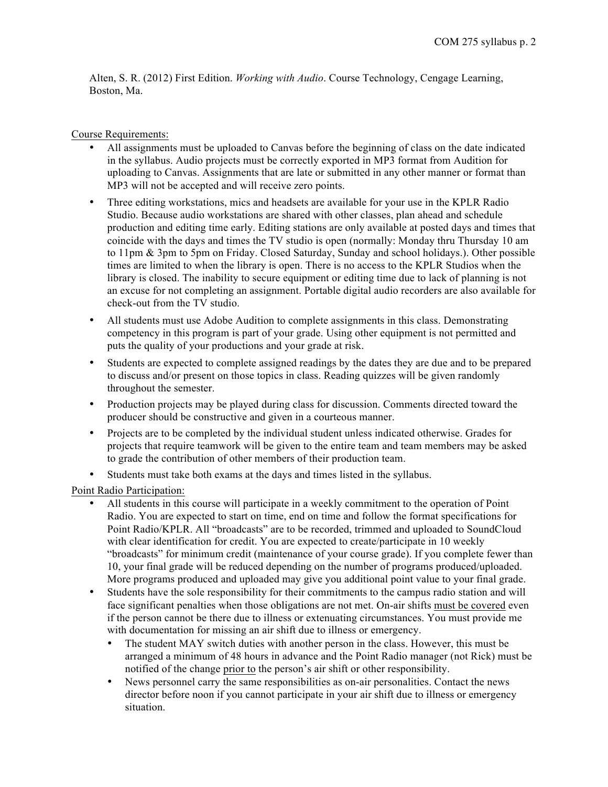Alten, S. R. (2012) First Edition. *Working with Audio*. Course Technology, Cengage Learning, Boston, Ma.

### Course Requirements:

- All assignments must be uploaded to Canvas before the beginning of class on the date indicated in the syllabus. Audio projects must be correctly exported in MP3 format from Audition for uploading to Canvas. Assignments that are late or submitted in any other manner or format than MP3 will not be accepted and will receive zero points.
- Three editing workstations, mics and headsets are available for your use in the KPLR Radio Studio. Because audio workstations are shared with other classes, plan ahead and schedule production and editing time early. Editing stations are only available at posted days and times that coincide with the days and times the TV studio is open (normally: Monday thru Thursday 10 am to 11pm & 3pm to 5pm on Friday. Closed Saturday, Sunday and school holidays.). Other possible times are limited to when the library is open. There is no access to the KPLR Studios when the library is closed. The inability to secure equipment or editing time due to lack of planning is not an excuse for not completing an assignment. Portable digital audio recorders are also available for check-out from the TV studio.
- All students must use Adobe Audition to complete assignments in this class. Demonstrating competency in this program is part of your grade. Using other equipment is not permitted and puts the quality of your productions and your grade at risk.
- Students are expected to complete assigned readings by the dates they are due and to be prepared to discuss and/or present on those topics in class. Reading quizzes will be given randomly throughout the semester.
- Production projects may be played during class for discussion. Comments directed toward the producer should be constructive and given in a courteous manner.
- Projects are to be completed by the individual student unless indicated otherwise. Grades for projects that require teamwork will be given to the entire team and team members may be asked to grade the contribution of other members of their production team.
- Students must take both exams at the days and times listed in the syllabus.

Point Radio Participation:

- All students in this course will participate in a weekly commitment to the operation of Point Radio. You are expected to start on time, end on time and follow the format specifications for Point Radio/KPLR. All "broadcasts" are to be recorded, trimmed and uploaded to SoundCloud with clear identification for credit. You are expected to create/participate in 10 weekly "broadcasts" for minimum credit (maintenance of your course grade). If you complete fewer than 10, your final grade will be reduced depending on the number of programs produced/uploaded. More programs produced and uploaded may give you additional point value to your final grade.
- Students have the sole responsibility for their commitments to the campus radio station and will face significant penalties when those obligations are not met. On-air shifts must be covered even if the person cannot be there due to illness or extenuating circumstances. You must provide me with documentation for missing an air shift due to illness or emergency.
	- The student MAY switch duties with another person in the class. However, this must be arranged a minimum of 48 hours in advance and the Point Radio manager (not Rick) must be notified of the change prior to the person's air shift or other responsibility.
	- News personnel carry the same responsibilities as on-air personalities. Contact the news director before noon if you cannot participate in your air shift due to illness or emergency situation.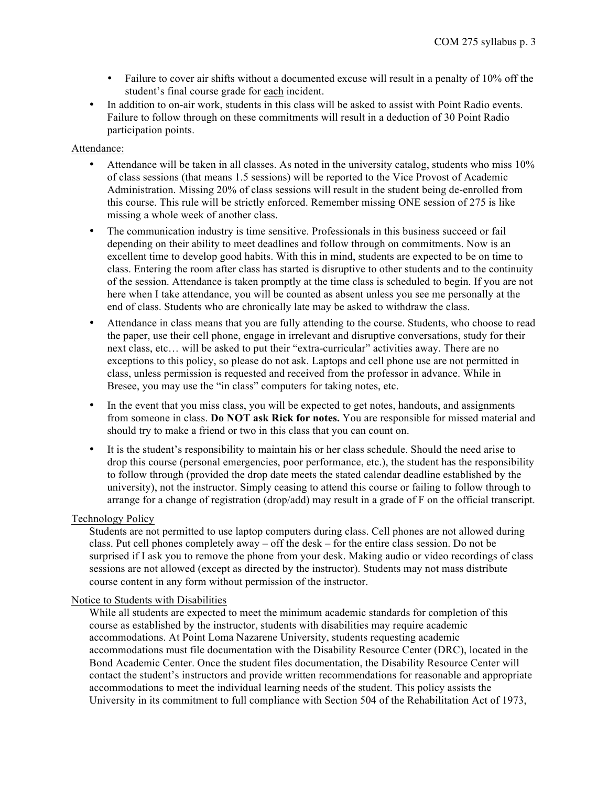- Failure to cover air shifts without a documented excuse will result in a penalty of 10% off the student's final course grade for each incident.
- In addition to on-air work, students in this class will be asked to assist with Point Radio events. Failure to follow through on these commitments will result in a deduction of 30 Point Radio participation points.

#### Attendance:

- Attendance will be taken in all classes. As noted in the university catalog, students who miss 10% of class sessions (that means 1.5 sessions) will be reported to the Vice Provost of Academic Administration. Missing 20% of class sessions will result in the student being de-enrolled from this course. This rule will be strictly enforced. Remember missing ONE session of 275 is like missing a whole week of another class.
- The communication industry is time sensitive. Professionals in this business succeed or fail depending on their ability to meet deadlines and follow through on commitments. Now is an excellent time to develop good habits. With this in mind, students are expected to be on time to class. Entering the room after class has started is disruptive to other students and to the continuity of the session. Attendance is taken promptly at the time class is scheduled to begin. If you are not here when I take attendance, you will be counted as absent unless you see me personally at the end of class. Students who are chronically late may be asked to withdraw the class.
- Attendance in class means that you are fully attending to the course. Students, who choose to read the paper, use their cell phone, engage in irrelevant and disruptive conversations, study for their next class, etc… will be asked to put their "extra-curricular" activities away. There are no exceptions to this policy, so please do not ask. Laptops and cell phone use are not permitted in class, unless permission is requested and received from the professor in advance. While in Bresee, you may use the "in class" computers for taking notes, etc.
- In the event that you miss class, you will be expected to get notes, handouts, and assignments from someone in class. **Do NOT ask Rick for notes.** You are responsible for missed material and should try to make a friend or two in this class that you can count on.
- It is the student's responsibility to maintain his or her class schedule. Should the need arise to drop this course (personal emergencies, poor performance, etc.), the student has the responsibility to follow through (provided the drop date meets the stated calendar deadline established by the university), not the instructor. Simply ceasing to attend this course or failing to follow through to arrange for a change of registration (drop/add) may result in a grade of F on the official transcript.

### Technology Policy

Students are not permitted to use laptop computers during class. Cell phones are not allowed during class. Put cell phones completely away – off the desk – for the entire class session. Do not be surprised if I ask you to remove the phone from your desk. Making audio or video recordings of class sessions are not allowed (except as directed by the instructor). Students may not mass distribute course content in any form without permission of the instructor.

### Notice to Students with Disabilities

While all students are expected to meet the minimum academic standards for completion of this course as established by the instructor, students with disabilities may require academic accommodations. At Point Loma Nazarene University, students requesting academic accommodations must file documentation with the Disability Resource Center (DRC), located in the Bond Academic Center. Once the student files documentation, the Disability Resource Center will contact the student's instructors and provide written recommendations for reasonable and appropriate accommodations to meet the individual learning needs of the student. This policy assists the University in its commitment to full compliance with Section 504 of the Rehabilitation Act of 1973,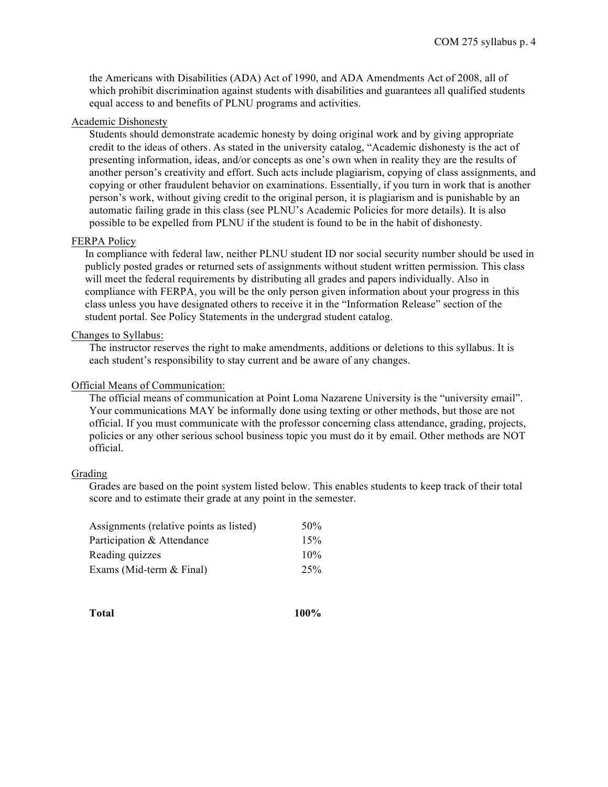the Americans with Disabilities (ADA) Act of 1990, and ADA Amendments Act of 2008, all of which prohibit discrimination against students with disabilities and guarantees all qualified students equal access to and benefits of PLNU programs and activities.

### Academic Dishonesty

Students should demonstrate academic honesty by doing original work and by giving appropriate credit to the ideas of others. As stated in the university catalog, "Academic dishonesty is the act of presenting information, ideas, and/or concepts as one's own when in reality they are the results of another person's creativity and effort. Such acts include plagiarism, copying of class assignments, and copying or other fraudulent behavior on examinations. Essentially, if you turn in work that is another person's work, without giving credit to the original person, it is plagiarism and is punishable by an automatic failing grade in this class (see PLNU's Academic Policies for more details). It is also possible to be expelled from PLNU if the student is found to be in the habit of dishonesty.

### FERPA Policy

In compliance with federal law, neither PLNU student ID nor social security number should be used in publicly posted grades or returned sets of assignments without student written permission. This class will meet the federal requirements by distributing all grades and papers individually. Also in compliance with FERPA, you will be the only person given information about your progress in this class unless you have designated others to receive it in the "Information Release" section of the student portal. See Policy Statements in the undergrad student catalog.

#### Changes to Syllabus:

The instructor reserves the right to make amendments, additions or deletions to this syllabus. It is each student's responsibility to stay current and be aware of any changes.

#### Official Means of Communication:

The official means of communication at Point Loma Nazarene University is the "university email". Your communications MAY be informally done using texting or other methods, but those are not official. If you must communicate with the professor concerning class attendance, grading, projects, policies or any other serious school business topic you must do it by email. Other methods are NOT official.

### Grading

Grades are based on the point system listed below. This enables students to keep track of their total score and to estimate their grade at any point in the semester.

| Assignments (relative points as listed) | 50% |  |
|-----------------------------------------|-----|--|
| Participation & Attendance              | 15% |  |
| Reading quizzes                         | 10% |  |
| Exams (Mid-term & Final)                | 25% |  |

**Total 100%**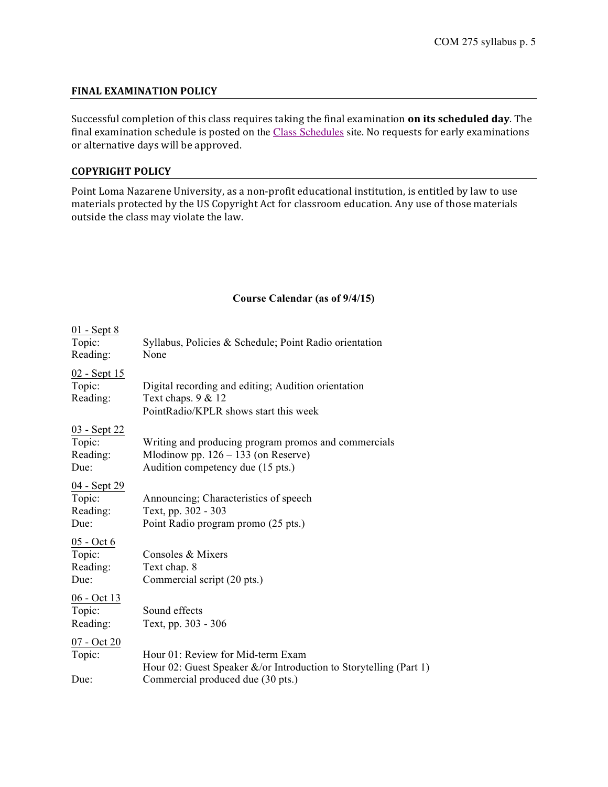## **FINAL EXAMINATION POLICY**

Successful completion of this class requires taking the final examination on its scheduled day. The final examination schedule is posted on the Class Schedules site. No requests for early examinations or alternative days will be approved.

### **COPYRIGHT POLICY**

Point Loma Nazarene University, as a non-profit educational institution, is entitled by law to use materials protected by the US Copyright Act for classroom education. Any use of those materials outside the class may violate the law.

## **Course Calendar (as of 9/4/15)**

| $01 - Sept 8$<br>Topic:<br>Reading:               | Syllabus, Policies & Schedule; Point Radio orientation<br>None                                                                              |
|---------------------------------------------------|---------------------------------------------------------------------------------------------------------------------------------------------|
| <u>02 - Sept 15</u><br>Topic:<br>Reading:         | Digital recording and editing; Audition orientation<br>Text chaps. 9 & 12<br>PointRadio/KPLR shows start this week                          |
| <u>03 - Sept 22</u><br>Topic:<br>Reading:<br>Due: | Writing and producing program promos and commercials<br>Mlodinow pp. $126 - 133$ (on Reserve)<br>Audition competency due (15 pts.)          |
| 04 - Sept 29<br>Topic:<br>Reading:<br>Due:        | Announcing; Characteristics of speech<br>Text, pp. 302 - 303<br>Point Radio program promo (25 pts.)                                         |
| $05 - Oct 6$<br>Topic:<br>Reading:<br>Due:        | Consoles & Mixers<br>Text chap. 8<br>Commercial script (20 pts.)                                                                            |
| $06 - Oct$ 13<br>Topic:<br>Reading:               | Sound effects<br>Text, pp. 303 - 306                                                                                                        |
| 07 - Oct 20<br>Topic:<br>Due:                     | Hour 01: Review for Mid-term Exam<br>Hour 02: Guest Speaker &/or Introduction to Storytelling (Part 1)<br>Commercial produced due (30 pts.) |